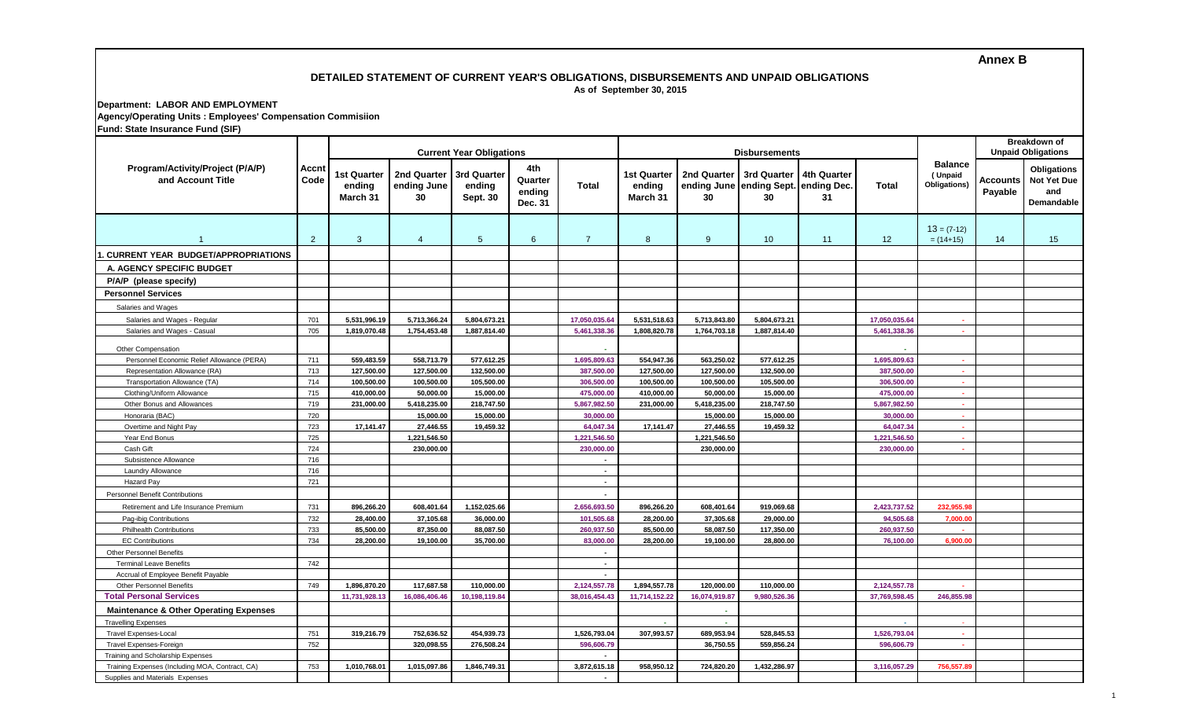## **Annex B**

# **DETAILED STATEMENT OF CURRENT YEAR'S OBLIGATIONS, DISBURSEMENTS AND UNPAID OBLIGATIONS As of September 30, 2015**

**Department: LABOR AND EMPLOYMENT Agency/Operating Units : Employees' Compensation Commisiion Fund: State Insurance Fund (SIF)**

|                                                                                    |                | <b>Current Year Obligations</b>   |                                  |                                          |                                     | <b>Disbursements</b>     |                                          |                         |                                                           |                   |                          |                                           | Breakdown of<br><b>Unpaid Obligations</b> |                                                        |
|------------------------------------------------------------------------------------|----------------|-----------------------------------|----------------------------------|------------------------------------------|-------------------------------------|--------------------------|------------------------------------------|-------------------------|-----------------------------------------------------------|-------------------|--------------------------|-------------------------------------------|-------------------------------------------|--------------------------------------------------------|
| Program/Activity/Project (P/A/P)<br>and Account Title                              | Accnt<br>Code  | 1st Quarter<br>ending<br>March 31 | 2nd Quarter<br>ending June<br>30 | 3rd Quarter<br>ending<br><b>Sept. 30</b> | 4th<br>Quarter<br>ending<br>Dec. 31 | Total                    | <b>1st Quarter</b><br>ending<br>March 31 | 2nd Quarter<br>30       | 3rd Quarter<br>ending June ending Sept. ending Dec.<br>30 | 4th Quarter<br>31 | <b>Total</b>             | <b>Balance</b><br>(Unpaid<br>Obligations) | Accounts<br>Payable                       | Obligations<br><b>Not Yet Due</b><br>and<br>Demandable |
|                                                                                    | $\overline{2}$ | 3                                 | $\overline{4}$                   | $5\phantom{.0}$                          | $6^{\circ}$                         | $\overline{7}$           | 8                                        | 9                       | 10                                                        | 11                | 12                       | $13 = (7-12)$<br>$= (14+15)$              | 14                                        | 15                                                     |
| <b>CURRENT YEAR BUDGET/APPROPRIATIONS</b>                                          |                |                                   |                                  |                                          |                                     |                          |                                          |                         |                                                           |                   |                          |                                           |                                           |                                                        |
| A. AGENCY SPECIFIC BUDGET                                                          |                |                                   |                                  |                                          |                                     |                          |                                          |                         |                                                           |                   |                          |                                           |                                           |                                                        |
| P/A/P (please specify)                                                             |                |                                   |                                  |                                          |                                     |                          |                                          |                         |                                                           |                   |                          |                                           |                                           |                                                        |
| <b>Personnel Services</b>                                                          |                |                                   |                                  |                                          |                                     |                          |                                          |                         |                                                           |                   |                          |                                           |                                           |                                                        |
| Salaries and Wages                                                                 |                |                                   |                                  |                                          |                                     |                          |                                          |                         |                                                           |                   |                          |                                           |                                           |                                                        |
| Salaries and Wages - Regular                                                       | 701            | 5,531,996.19                      | 5,713,366.24                     | 5,804,673.21                             |                                     | 17,050,035.64            | 5,531,518.63                             | 5,713,843.80            | 5,804,673.21                                              |                   | 17,050,035.64            |                                           |                                           |                                                        |
| Salaries and Wages - Casual                                                        | 705            | 1,819,070.48                      | 1,754,453.48                     | 1,887,814.40                             |                                     | 5,461,338.36             | 1,808,820.78                             | 1,764,703.18            | 1,887,814.40                                              |                   | 5,461,338.36             |                                           |                                           |                                                        |
|                                                                                    |                |                                   |                                  |                                          |                                     |                          |                                          |                         |                                                           |                   |                          |                                           |                                           |                                                        |
| Other Compensation                                                                 |                |                                   |                                  |                                          |                                     |                          |                                          |                         |                                                           |                   |                          |                                           |                                           |                                                        |
| Personnel Economic Relief Allowance (PERA)                                         | 711            | 559,483.59                        | 558,713.79                       | 577,612.25                               |                                     | 1,695,809.63             | 554,947.36                               | 563,250.02              | 577,612.25                                                |                   | 1,695,809.63             |                                           |                                           |                                                        |
| Representation Allowance (RA)                                                      | 713<br>714     | 127,500.00                        | 127,500.00                       | 132,500.00                               |                                     | 387.500.00               | 127,500.00                               | 127,500.00              | 132,500.00                                                |                   | 387,500.00               | $\sim$                                    |                                           |                                                        |
| Transportation Allowance (TA)<br>Clothing/Uniform Allowance                        | 715            | 100,500.00<br>410,000.00          | 100,500.00<br>50,000.00          | 105,500.00<br>15,000.00                  |                                     | 306,500.00<br>475,000.00 | 100,500.00<br>410,000.00                 | 100,500.00<br>50,000.00 | 105,500.00<br>15,000.00                                   |                   | 306,500.00<br>475,000.00 | $\sim$<br>×.                              |                                           |                                                        |
| Other Bonus and Allowances                                                         | 719            | 231,000.00                        | 5,418,235.00                     | 218,747.50                               |                                     | 5,867,982.50             | 231,000.00                               | 5,418,235.00            | 218,747.50                                                |                   | 5,867,982.50             | $\sim$                                    |                                           |                                                        |
| Honoraria (BAC)                                                                    | 720            |                                   | 15,000.00                        | 15,000.00                                |                                     | 30,000.00                |                                          | 15,000.00               | 15,000.00                                                 |                   | 30,000.00                | ×.                                        |                                           |                                                        |
| Overtime and Night Pay                                                             | 723            | 17,141.47                         | 27,446.55                        | 19,459.32                                |                                     | 64,047.34                | 17,141.47                                | 27,446.55               | 19,459.32                                                 |                   | 64,047.34                | $\sim$                                    |                                           |                                                        |
| Year End Bonus                                                                     | 725            |                                   | 1,221,546.50                     |                                          |                                     | 1,221,546.50             |                                          | 1,221,546.50            |                                                           |                   | 1,221,546.50             | $\sim$                                    |                                           |                                                        |
| Cash Gift                                                                          | 724            |                                   | 230,000.00                       |                                          |                                     | 230,000.00               |                                          | 230,000.00              |                                                           |                   | 230,000.00               |                                           |                                           |                                                        |
| Subsistence Allowance                                                              | 716            |                                   |                                  |                                          |                                     | $\sim$                   |                                          |                         |                                                           |                   |                          |                                           |                                           |                                                        |
| Laundry Allowance                                                                  | 716            |                                   |                                  |                                          |                                     | $\overline{\phantom{a}}$ |                                          |                         |                                                           |                   |                          |                                           |                                           |                                                        |
| Hazard Pay                                                                         | 721            |                                   |                                  |                                          |                                     | $\sim$                   |                                          |                         |                                                           |                   |                          |                                           |                                           |                                                        |
| <b>Personnel Benefit Contributions</b>                                             |                |                                   |                                  |                                          |                                     |                          |                                          |                         |                                                           |                   |                          |                                           |                                           |                                                        |
| Retirement and Life Insurance Premium                                              | 731            | 896,266.20                        | 608,401.64                       | 1,152,025.66                             |                                     | 2,656,693.50             | 896,266.20                               | 608,401.64              | 919,069.68                                                |                   | 2,423,737.52             | 232,955.9                                 |                                           |                                                        |
| Pag-ibig Contributions                                                             | 732            | 28,400.00                         | 37,105.68                        | 36,000.00                                |                                     | 101,505.68               | 28,200.00                                | 37,305.68               | 29,000.00                                                 |                   | 94,505.68                | 7,000.00                                  |                                           |                                                        |
| <b>Philhealth Contributions</b>                                                    | 733            | 85,500.00                         | 87,350.00                        | 88,087.50                                |                                     | 260,937.50               | 85,500.00                                | 58,087.50               | 117,350.00                                                |                   | 260,937.50               |                                           |                                           |                                                        |
| <b>EC Contributions</b>                                                            | 734            | 28,200.00                         | 19,100.00                        | 35,700.00                                |                                     | 83,000.00                | 28,200.00                                | 19,100.00               | 28,800.00                                                 |                   | 76,100.00                | 6,900.00                                  |                                           |                                                        |
| <b>Other Personnel Benefits</b>                                                    |                |                                   |                                  |                                          |                                     |                          |                                          |                         |                                                           |                   |                          |                                           |                                           |                                                        |
| <b>Terminal Leave Benefits</b>                                                     | 742            |                                   |                                  |                                          |                                     | $\sim$                   |                                          |                         |                                                           |                   |                          |                                           |                                           |                                                        |
| Accrual of Employee Benefit Payable                                                |                |                                   |                                  |                                          |                                     | $\overline{a}$           |                                          |                         |                                                           |                   |                          |                                           |                                           |                                                        |
| <b>Other Personnel Benefits</b>                                                    | 749            | 1,896,870.20                      | 117,687.58                       | 110,000.00                               |                                     | 2,124,557.78             | 1,894,557.78                             | 120,000.00              | 110,000.00                                                |                   | 2,124,557.78             |                                           |                                           |                                                        |
| <b>Total Personal Services</b>                                                     |                | 11,731,928.1                      | 16,086,406.46                    | 10,198,119.84                            |                                     | 38,016,454.43            | 11,714,152.22                            | 16,074,919.87           | 9,980,526.36                                              |                   | 37,769,598.45            | 246,855.98                                |                                           |                                                        |
| <b>Maintenance &amp; Other Operating Expenses</b>                                  |                |                                   |                                  |                                          |                                     |                          |                                          |                         |                                                           |                   |                          |                                           |                                           |                                                        |
| <b>Travelling Expenses</b>                                                         |                |                                   |                                  |                                          |                                     |                          | A.                                       | $\sim$                  |                                                           |                   | a.                       |                                           |                                           |                                                        |
| <b>Travel Expenses-Local</b>                                                       | 751            | 319,216.79                        | 752,636.52                       | 454,939.73                               |                                     | 1,526,793.04             | 307,993.57                               | 689,953.94              | 528,845.53                                                |                   | 1,526,793.04             | $\sim$                                    |                                           |                                                        |
| Travel Expenses-Foreign                                                            | 752            |                                   | 320,098.55                       | 276,508.24                               |                                     | 596,606.79               |                                          | 36,750.55               | 559,856.24                                                |                   | 596,606.79               | ×.                                        |                                           |                                                        |
| Training and Scholarship Expenses                                                  |                |                                   |                                  |                                          |                                     |                          |                                          |                         |                                                           |                   |                          |                                           |                                           |                                                        |
| Training Expenses (Including MOA, Contract, CA)<br>Supplies and Materials Expenses | 753            | 1,010,768.01                      | 1,015,097.86                     | 1,846,749.31                             |                                     | 3,872,615.18<br>$\sim$   | 958,950.12                               | 724,820.20              | 1,432,286.97                                              |                   | 3,116,057.29             | 756,557.89                                |                                           |                                                        |
|                                                                                    |                |                                   |                                  |                                          |                                     |                          |                                          |                         |                                                           |                   |                          |                                           |                                           |                                                        |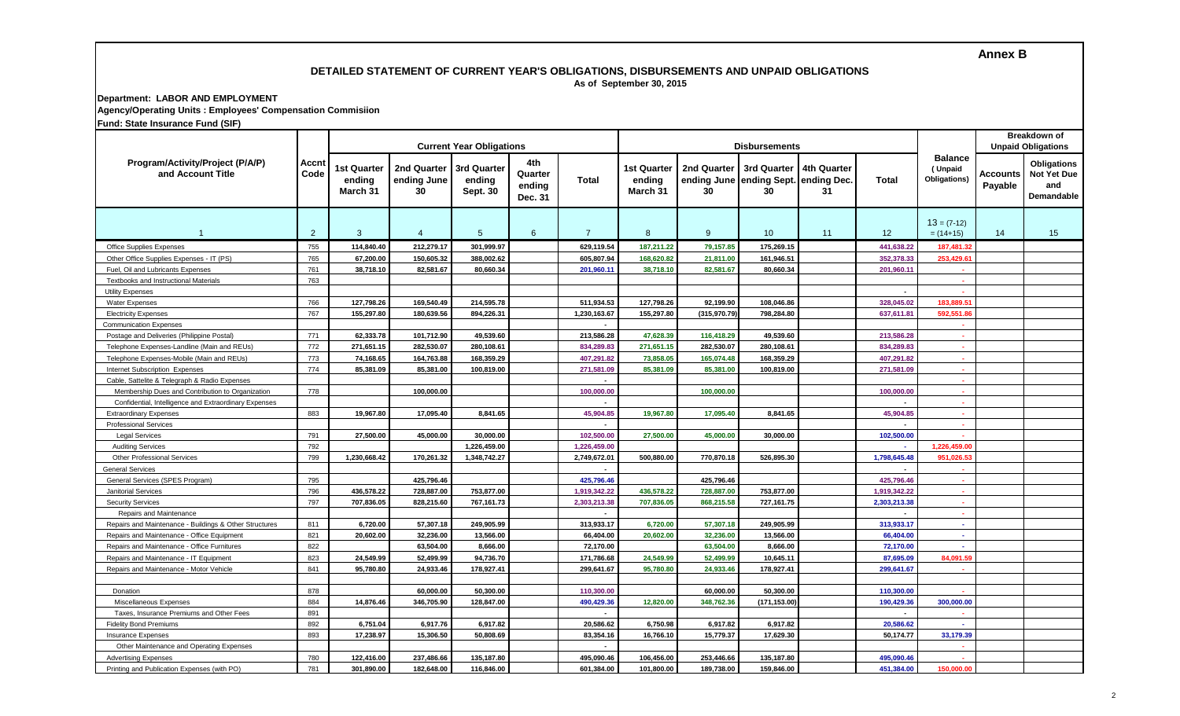### **Annex B**

### **DETAILED STATEMENT OF CURRENT YEAR'S OBLIGATIONS, DISBURSEMENTS AND UNPAID OBLIGATIONS As of September 30, 2015**

# **Department: LABOR AND EMPLOYMENT Agency/Operating Units : Employees' Compensation Commisiion**

|  |  | Fund: State Insurance Fund (SIF) |  |  |  |
|--|--|----------------------------------|--|--|--|
|--|--|----------------------------------|--|--|--|

|                                                        |                      | <b>Current Year Obligations</b>   |                                  |                                   |                                     | <b>Disbursements</b> |                                          |                   |                                                           |                   |                          | <b>Breakdown of</b><br><b>Unpaid Obligations</b> |                     |                                                                      |
|--------------------------------------------------------|----------------------|-----------------------------------|----------------------------------|-----------------------------------|-------------------------------------|----------------------|------------------------------------------|-------------------|-----------------------------------------------------------|-------------------|--------------------------|--------------------------------------------------|---------------------|----------------------------------------------------------------------|
| Program/Activity/Project (P/A/P)<br>and Account Title  | <b>Accnt</b><br>Code | 1st Quarter<br>ending<br>March 31 | 2nd Quarter<br>ending June<br>30 | 3rd Quarter<br>ending<br>Sept. 30 | 4th<br>Quarter<br>ending<br>Dec. 31 | Total                | <b>1st Quarter</b><br>ending<br>March 31 | 2nd Quarter<br>30 | 3rd Quarter<br>ending June ending Sept. ending Dec.<br>30 | 4th Quarter<br>31 | Total                    | <b>Balance</b><br>(Unpaid<br>Obligations)        | Accounts<br>Payable | <b>Obligations</b><br><b>Not Yet Due</b><br>and<br><b>Demandable</b> |
| $\overline{1}$                                         | $\overline{2}$       | 3                                 | $\overline{4}$                   | $5\phantom{.0}$                   | 6                                   | $\overline{7}$       | 8                                        | 9                 | 10                                                        | 11                | 12                       | $13 = (7-12)$<br>$= (14+15)$                     | 14                  | 15                                                                   |
| Office Supplies Expenses                               | 755                  | 114.840.40                        | 212.279.17                       | 301.999.97                        |                                     | 629.119.54           | 187.211.22                               | 79.157.85         | 175.269.15                                                |                   | 441.638.22               | 187.481.3                                        |                     |                                                                      |
| Other Office Supplies Expenses - IT (PS)               | 765                  | 67.200.00                         | 150.605.32                       | 388.002.62                        |                                     | 605.807.94           | 168.620.82                               | 21.811.00         | 161.946.51                                                |                   | 352.378.33               | 253.429.6                                        |                     |                                                                      |
| Fuel. Oil and Lubricants Expenses                      | 761                  | 38,718.10                         | 82.581.67                        | 80.660.34                         |                                     | 201.960.11           | 38,718.10                                | 82,581.67         | 80.660.34                                                 |                   | 201.960.11               |                                                  |                     |                                                                      |
| <b>Textbooks and Instructional Materials</b>           | 763                  |                                   |                                  |                                   |                                     |                      |                                          |                   |                                                           |                   |                          | ٠.                                               |                     |                                                                      |
| <b>Utility Expenses</b>                                |                      |                                   |                                  |                                   |                                     |                      |                                          |                   |                                                           |                   | $\overline{\phantom{a}}$ |                                                  |                     |                                                                      |
| <b>Water Expenses</b>                                  | 766                  | 127,798.26                        | 169,540.49                       | 214,595.78                        |                                     | 511,934.53           | 127,798.26                               | 92,199.90         | 108,046.86                                                |                   | 328,045.02               | 183,889.5                                        |                     |                                                                      |
| <b>Electricity Expenses</b>                            | 767                  | 155,297.80                        | 180,639.56                       | 894,226.31                        |                                     | 1,230,163.67         | 155,297.80                               | (315,970.79       | 798.284.80                                                |                   | 637,611.81               | 592,551.8                                        |                     |                                                                      |
| <b>Communication Expenses</b>                          |                      |                                   |                                  |                                   |                                     |                      |                                          |                   |                                                           |                   |                          |                                                  |                     |                                                                      |
| Postage and Deliveries (Philippine Postal)             | 771                  | 62,333.78                         | 101,712.90                       | 49,539.60                         |                                     | 213,586.28           | 47,628.39                                | 116,418.29        | 49,539.60                                                 |                   | 213,586.28               | $\sim$                                           |                     |                                                                      |
| Telephone Expenses-Landline (Main and REUs)            | 772                  | 271,651.15                        | 282,530.07                       | 280,108.61                        |                                     | 834,289.83           | 271,651.15                               | 282,530.07        | 280,108.61                                                |                   | 834,289.83               | $\sim$                                           |                     |                                                                      |
| Telephone Expenses-Mobile (Main and REUs)              | 773                  | 74,168.65                         | 164,763.88                       | 168,359.29                        |                                     | 407,291.82           | 73,858.05                                | 165,074.48        | 168,359.29                                                |                   | 407,291.82               |                                                  |                     |                                                                      |
| Internet Subscription Expenses                         | 774                  | 85,381.09                         | 85,381.00                        | 100,819.00                        |                                     | 271,581.09           | 85,381.09                                | 85,381.00         | 100,819.00                                                |                   | 271,581.09               |                                                  |                     |                                                                      |
| Cable, Sattelite & Telegraph & Radio Expenses          |                      |                                   |                                  |                                   |                                     |                      |                                          |                   |                                                           |                   |                          | ×,                                               |                     |                                                                      |
| Membership Dues and Contribution to Organization       | 778                  |                                   | 100.000.00                       |                                   |                                     | 100.000.00           |                                          | 100.000.00        |                                                           |                   | 100.000.00               |                                                  |                     |                                                                      |
| Confidential, Intelligence and Extraordinary Expenses  |                      |                                   |                                  |                                   |                                     |                      |                                          |                   |                                                           |                   |                          |                                                  |                     |                                                                      |
| <b>Extraordinary Expenses</b>                          | 883                  | 19,967.80                         | 17.095.40                        | 8,841.65                          |                                     | 45.904.85            | 19,967.80                                | 17,095.40         | 8.841.65                                                  |                   | 45.904.85                |                                                  |                     |                                                                      |
| <b>Professional Services</b>                           |                      |                                   |                                  |                                   |                                     |                      |                                          |                   |                                                           |                   |                          |                                                  |                     |                                                                      |
| <b>Legal Services</b>                                  | 791                  | 27,500.00                         | 45.000.00                        | 30.000.00                         |                                     | 102,500.00           | 27,500.00                                | 45,000.00         | 30.000.00                                                 |                   | 102,500.00               |                                                  |                     |                                                                      |
| <b>Auditing Services</b>                               | 792                  |                                   |                                  | 1,226,459.00                      |                                     | 1,226,459.00         |                                          |                   |                                                           |                   |                          | 1,226,459.00                                     |                     |                                                                      |
| <b>Other Professional Services</b>                     | 799                  | 1,230,668.42                      | 170,261.32                       | 1,348,742.27                      |                                     | 2,749,672.01         | 500,880.00                               | 770,870.18        | 526,895.30                                                |                   | 1,798,645.48             | 951,026.5                                        |                     |                                                                      |
| <b>General Services</b>                                |                      |                                   |                                  |                                   |                                     | $\blacksquare$       |                                          |                   |                                                           |                   | $\sim$                   | ×.                                               |                     |                                                                      |
| General Services (SPES Program)                        | 795                  |                                   | 425,796.46                       |                                   |                                     | 425,796.46           |                                          | 425,796.46        |                                                           |                   | 425,796.46               |                                                  |                     |                                                                      |
| Janitorial Services                                    | 796                  | 436,578.22                        | 728,887.00                       | 753,877.00                        |                                     | 1,919,342.22         | 436,578.22                               | 728,887.00        | 753,877.00                                                |                   | 1,919,342.22             | ×                                                |                     |                                                                      |
| <b>Security Services</b>                               | 797                  | 707.836.05                        | 828.215.60                       | 767.161.73                        |                                     | 2.303.213.38         | 707,836.05                               | 868,215.58        | 727.161.75                                                |                   | 2.303.213.38             | $\sim$                                           |                     |                                                                      |
| Repairs and Maintenance                                |                      |                                   |                                  |                                   |                                     |                      |                                          |                   |                                                           |                   | $\overline{a}$           | $\sim$                                           |                     |                                                                      |
| Repairs and Maintenance - Buildings & Other Structures | 811                  | 6,720.00                          | 57.307.18                        | 249.905.99                        |                                     | 313.933.17           | 6,720.00                                 | 57,307.18         | 249.905.99                                                |                   | 313.933.17               | $\sim$                                           |                     |                                                                      |
| Repairs and Maintenance - Office Equipment             | 821                  | 20,602.00                         | 32.236.00                        | 13.566.00                         |                                     | 66,404.00            | 20,602.00                                | 32,236.00         | 13.566.00                                                 |                   | 66,404.00                | $\sim$                                           |                     |                                                                      |
| Repairs and Maintenance - Office Furnitures            | 822                  |                                   | 63.504.00                        | 8,666.00                          |                                     | 72,170.00            |                                          | 63,504.00         | 8.666.00                                                  |                   | 72,170.00                | $\sim$                                           |                     |                                                                      |
| Repairs and Maintenance - IT Equipment                 | 823                  | 24,549.99                         | 52,499.99                        | 94,736.70                         |                                     | 171,786.68           | 24,549.99                                | 52,499.99         | 10,645.11                                                 |                   | 87,695.09                | 84,091.59                                        |                     |                                                                      |
| Repairs and Maintenance - Motor Vehicle                | 841                  | 95,780.80                         | 24,933.46                        | 178,927.41                        |                                     | 299,641.67           | 95,780.80                                | 24,933.46         | 178,927.41                                                |                   | 299,641.67               |                                                  |                     |                                                                      |
|                                                        |                      |                                   |                                  |                                   |                                     |                      |                                          |                   |                                                           |                   |                          |                                                  |                     |                                                                      |
| Donation                                               | 878                  |                                   | 60,000.00                        | 50,300.00                         |                                     | 110,300.00           |                                          | 60,000.00         | 50,300.00                                                 |                   | 110,300.00               |                                                  |                     |                                                                      |
| Miscellaneous Expenses                                 | 884                  | 14,876.46                         | 346,705.90                       | 128,847.00                        |                                     | 490,429.36           | 12,820.00                                | 348,762.36        | (171,153.00)                                              |                   | 190,429.36               | 300,000.00                                       |                     |                                                                      |
| Taxes, Insurance Premiums and Other Fees               | 891                  |                                   |                                  |                                   |                                     |                      |                                          |                   |                                                           |                   |                          |                                                  |                     |                                                                      |
| <b>Fidelity Bond Premiums</b>                          | 892                  | 6,751.04                          | 6,917.76                         | 6,917.82                          |                                     | 20,586.62            | 6,750.98                                 | 6,917.82          | 6,917.82                                                  |                   | 20,586.62                |                                                  |                     |                                                                      |
| <b>Insurance Expenses</b>                              | 893                  | 17,238.97                         | 15,306.50                        | 50,808.69                         |                                     | 83,354.16            | 16,766.10                                | 15,779.37         | 17.629.30                                                 |                   | 50.174.77                | 33,179.39                                        |                     |                                                                      |
| Other Maintenance and Operating Expenses               |                      |                                   |                                  |                                   |                                     |                      |                                          |                   |                                                           |                   |                          |                                                  |                     |                                                                      |
| <b>Advertising Expenses</b>                            | 780                  | 122,416.00                        | 237.486.66                       | 135,187.80                        |                                     | 495,090.46           | 106,456.00                               | 253.446.66        | 135.187.80                                                |                   | 495.090.46               |                                                  |                     |                                                                      |
| Printing and Publication Expenses (with PO)            | 781                  | 301.890.00                        | 182.648.00                       | 116,846.00                        |                                     | 601,384.00           | 101,800.00                               | 189,738.00        | 159,846.00                                                |                   | 451.384.00               | 150.000.00                                       |                     |                                                                      |